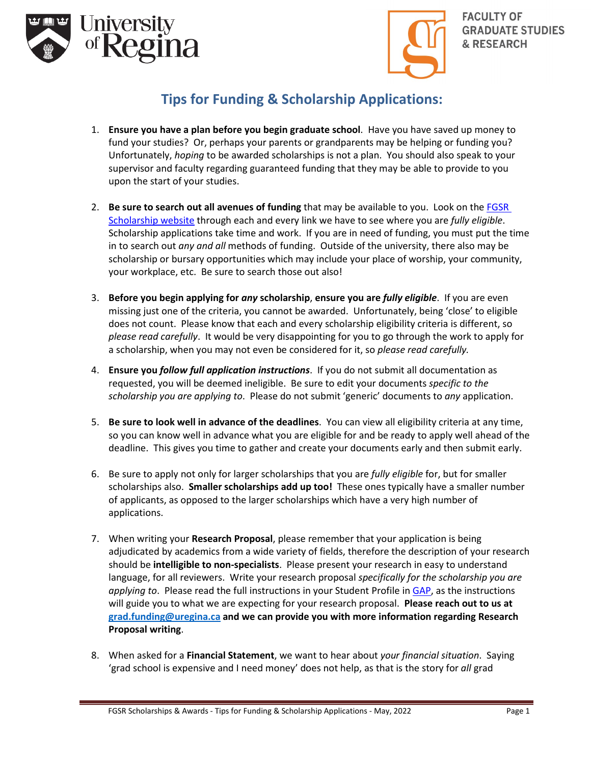



## **Tips for Funding & Scholarship Applications:**

- 1. **Ensure you have a plan before you begin graduate school**. Have you have saved up money to fund your studies? Or, perhaps your parents or grandparents may be helping or funding you? Unfortunately, *hoping* to be awarded scholarships is not a plan. You should also speak to your supervisor and faculty regarding guaranteed funding that they may be able to provide to you upon the start of your studies.
- 2. **Be sure to search out all avenues of funding** that may be available to you. Look on the [FGSR](https://www.uregina.ca/gradstudies/current-students/scholarships/index.html)  [Scholarship website](https://www.uregina.ca/gradstudies/current-students/scholarships/index.html) through each and every link we have to see where you are *fully eligible*. Scholarship applications take time and work. If you are in need of funding, you must put the time in to search out *any and all* methods of funding. Outside of the university, there also may be scholarship or bursary opportunities which may include your place of worship, your community, your workplace, etc. Be sure to search those out also!
- 3. **Before you begin applying for** *any* **scholarship**, **ensure you are** *fully eligible*. If you are even missing just one of the criteria, you cannot be awarded. Unfortunately, being 'close' to eligible does not count. Please know that each and every scholarship eligibility criteria is different, so *please read carefully*. It would be very disappointing for you to go through the work to apply for a scholarship, when you may not even be considered for it, so *please read carefully.*
- 4. **Ensure you** *follow full application instructions*. If you do not submit all documentation as requested, you will be deemed ineligible. Be sure to edit your documents *specific to the scholarship you are applying to*. Please do not submit 'generic' documents to *any* application.
- 5. **Be sure to look well in advance of the deadlines**. You can view all eligibility criteria at any time, so you can know well in advance what you are eligible for and be ready to apply well ahead of the deadline. This gives you time to gather and create your documents early and then submit early.
- 6. Be sure to apply not only for larger scholarships that you are *fully eligible* for, but for smaller scholarships also. **Smaller scholarships add up too!** These ones typically have a smaller number of applicants, as opposed to the larger scholarships which have a very high number of applications.
- 7. When writing your **Research Proposal**, please remember that your application is being adjudicated by academics from a wide variety of fields, therefore the description of your research should be **intelligible to non-specialists**. Please present your research in easy to understand language, for all reviewers. Write your research proposal *specifically for the scholarship you are applying to*. Please read the full instructions in your Student Profile i[n GAP,](https://banner.uregina.ca:17025/apex_sagp/f?p=127:101:2305468325591) as the instructions will guide you to what we are expecting for your research proposal. **Please reach out to us at [grad.funding@uregina.ca](mailto:grad.funding@uregina.ca) and we can provide you with more information regarding Research Proposal writing**.
- 8. When asked for a **Financial Statement**, we want to hear about *your financial situation*. Saying 'grad school is expensive and I need money' does not help, as that is the story for *all* grad